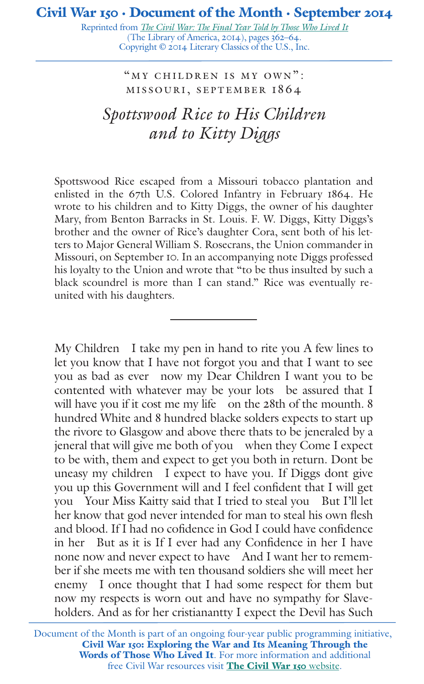## Civil War 150 · Document of the Month · September 2014

Reprinted from *[The Civil War: The Final Year Told by Those Who Lived It](http://www.loa.org/volume.jsp?RequestID=400)* (The Library of America, 2014), pages 362–64. Copyright © 2014 Literary Classics of the U.S., Inc.

> "MY CHILDREN IS MY OWN": MISSOURI, SEPTEMBER 1864

## *Spottswood Rice to His Children and to Kitty Diggs*

Spottswood Rice escaped from a Missouri tobacco plantation and enlisted in the 67th U.S. Colored Infantry in February 1864. He wrote to his children and to Kitty Diggs, the owner of his daughter Mary, from Benton Barracks in St. Louis. F. W. Diggs, Kitty Diggs's brother and the owner of Rice's daughter Cora, sent both of his letters to Major General William S. Rosecrans, the Union commander in Missouri, on September 10. In an accompanying note Diggs professed his loyalty to the Union and wrote that "to be thus insulted by such a black scoundrel is more than I can stand." Rice was eventually reunited with his daughters.

My Children I take my pen in hand to rite you A few lines to let you know that I have not forgot you and that I want to see you as bad as ever now my Dear Children I want you to be contented with whatever may be your lots be assured that I will have you if it cost me my life on the 28th of the mounth. 8 hundred White and 8 hundred blacke solders expects to start up the rivore to Glasgow and above there thats to be jeneraled by a jeneral that will give me both of you when they Come I expect to be with, them and expect to get you both in return. Dont be uneasy my children I expect to have you. If Diggs dont give you up this Government will and I feel confident that I will get you Your Miss Kaitty said that I tried to steal you But I'll let her know that god never intended for man to steal his own flesh and blood. If I had no cofidence in God I could have confidence in her But as it is If I ever had any Confidence in her I have none now and never expect to have And I want her to remember if she meets me with ten thousand soldiers she will meet her enemy I once thought that I had some respect for them but now my respects is worn out and have no sympathy for Slaveholders. And as for her cristianantty I expect the Devil has Such

Document of the Month is part of an ongoing four-year public programming initiative, Civil War 150: Exploring the War and Its Meaning Through the Words of Those Who Lived It. For more information and additional free Civil War resources visit **[The Civil War 150](http://www.gilderlehrman.org/civilwar150)** website.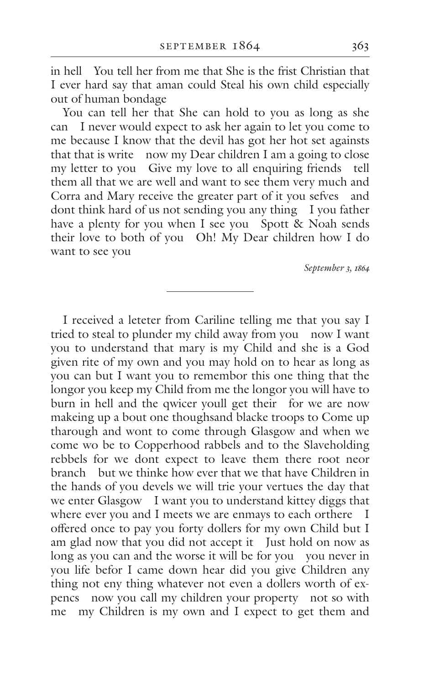in hell You tell her from me that She is the frist Christian that I ever hard say that aman could Steal his own child especially out of human bondage

You can tell her that She can hold to you as long as she can I never would expect to ask her again to let you come to me because I know that the devil has got her hot set againsts that that is write now my Dear children I am a going to close my letter to you Give my love to all enquiring friends tell them all that we are well and want to see them very much and Corra and Mary receive the greater part of it you sefves and dont think hard of us not sending you any thing I you father have a plenty for you when I see you Spott & Noah sends their love to both of you Oh! My Dear children how I do want to see you

*September 3, 1864*

I received a leteter from Cariline telling me that you say I tried to steal to plunder my child away from you now I want you to understand that mary is my Child and she is a God given rite of my own and you may hold on to hear as long as you can but I want you to remembor this one thing that the longor you keep my Child from me the longor you will have to burn in hell and the qwicer youll get their for we are now makeing up a bout one thoughsand blacke troops to Come up tharough and wont to come through Glasgow and when we come wo be to Copperhood rabbels and to the Slaveholding rebbels for we dont expect to leave them there root neor branch but we thinke how ever that we that have Children in the hands of you devels we will trie your vertues the day that we enter Glasgow I want you to understand kittey diggs that where ever you and I meets we are enmays to each orthere I offered once to pay you forty dollers for my own Child but I am glad now that you did not accept it Just hold on now as long as you can and the worse it will be for you you never in you life befor I came down hear did you give Children any thing not eny thing whatever not even a dollers worth of expencs now you call my children your property not so with me my Children is my own and I expect to get them and